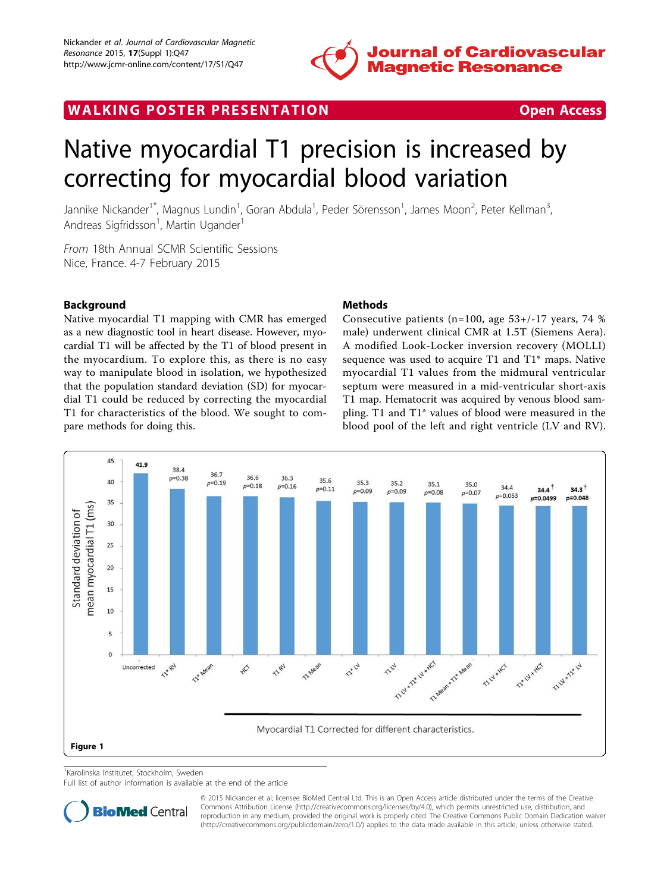

WALKING POSTER PRESENTATION **SECURE 20 YO FOR ACCESS** 

# Native myocardial T1 precision is increased by correcting for myocardial blood variation

Jannike Nickander<sup>1\*</sup>, Magnus Lundin<sup>1</sup>, Goran Abdula<sup>1</sup>, Peder Sörensson<sup>1</sup>, James Moon<sup>2</sup>, Peter Kellman<sup>3</sup> , Andreas Sigfridsson<sup>1</sup>, Martin Ugander<sup>1</sup>

From 18th Annual SCMR Scientific Sessions Nice, France. 4-7 February 2015

## Background

Native myocardial T1 mapping with CMR has emerged as a new diagnostic tool in heart disease. However, myocardial T1 will be affected by the T1 of blood present in the myocardium. To explore this, as there is no easy way to manipulate blood in isolation, we hypothesized that the population standard deviation (SD) for myocardial T1 could be reduced by correcting the myocardial T1 for characteristics of the blood. We sought to compare methods for doing this.

### Methods

Consecutive patients (n=100, age 53+/-17 years, 74 % male) underwent clinical CMR at 1.5T (Siemens Aera). A modified Look-Locker inversion recovery (MOLLI) sequence was used to acquire T1 and T1\* maps. Native myocardial T1 values from the midmural ventricular septum were measured in a mid-ventricular short-axis T1 map. Hematocrit was acquired by venous blood sampling. T1 and T1\* values of blood were measured in the blood pool of the left and right ventricle (LV and RV).



1 Karolinska Institutet, Stockholm, Sweden

Full list of author information is available at the end of the article



© 2015 Nickander et al; licensee BioMed Central Ltd. This is an Open Access article distributed under the terms of the Creative Commons Attribution License [\(http://creativecommons.org/licenses/by/4.0](http://creativecommons.org/licenses/by/4.0)), which permits unrestricted use, distribution, and reproduction in any medium, provided the original work is properly cited. The Creative Commons Public Domain Dedication waiver [\(http://creativecommons.org/publicdomain/zero/1.0/](http://creativecommons.org/publicdomain/zero/1.0/)) applies to the data made available in this article, unless otherwise stated.